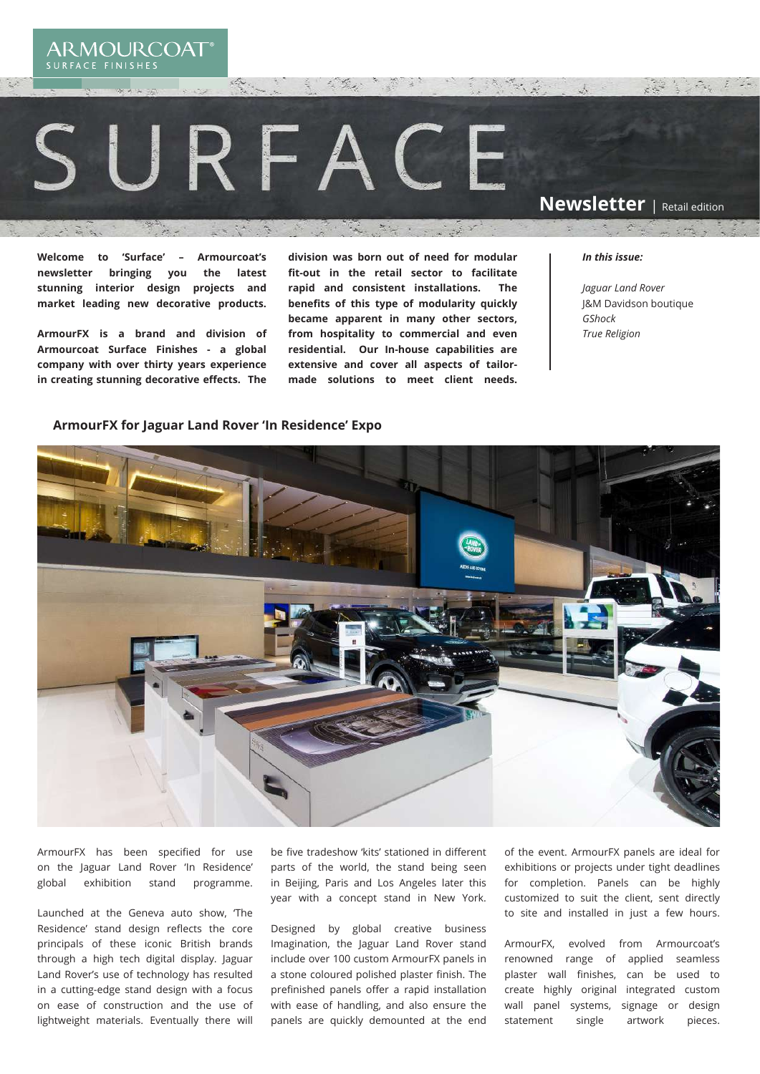ARMOURCOAT SURFACE FINISHES

# URFACE

 $\mathcal{L}_{\mathcal{A}}^{\mathcal{A}}\left( \mathcal{L}_{\mathcal{A}}^{\mathcal{A}}\right) ,$ 

**Welcome to 'Surface' – Armourcoat's newsletter bringing you the latest stunning interior design projects and market leading new decorative products.**

**ArmourFX is a brand and division of Armourcoat Surface Finishes - a global company with over thirty years experience in creating stunning decorative effects. The** 

**division was born out of need for modular fit-out in the retail sector to facilitate rapid and consistent installations. The benefits of this type of modularity quickly became apparent in many other sectors, from hospitality to commercial and even residential. Our In-house capabilities are extensive and cover all aspects of tailormade solutions to meet client needs.**

- 13

# **Newsletter** | Retail edition

#### *In this issue:*

*Jaguar Land Rover* J&M Davidson boutique *GShock True Religion* 

#### **ArmourFX for Jaguar Land Rover 'In Residence' Expo**



ArmourFX has been specified for use on the Jaguar Land Rover 'In Residence' global exhibition stand programme.

Launched at the Geneva auto show, 'The Residence' stand design reflects the core principals of these iconic British brands through a high tech digital display. Jaguar Land Rover's use of technology has resulted in a cutting-edge stand design with a focus on ease of construction and the use of lightweight materials. Eventually there will

be five tradeshow 'kits' stationed in different parts of the world, the stand being seen in Beijing, Paris and Los Angeles later this year with a concept stand in New York.

Designed by global creative business Imagination, the Jaguar Land Rover stand include over 100 custom ArmourFX panels in a stone coloured polished plaster finish. The prefinished panels offer a rapid installation with ease of handling, and also ensure the panels are quickly demounted at the end

of the event. ArmourFX panels are ideal for exhibitions or projects under tight deadlines for completion. Panels can be highly customized to suit the client, sent directly to site and installed in just a few hours.

ArmourFX, evolved from Armourcoat's renowned range of applied seamless plaster wall finishes, can be used to create highly original integrated custom wall panel systems, signage or design statement single artwork pieces.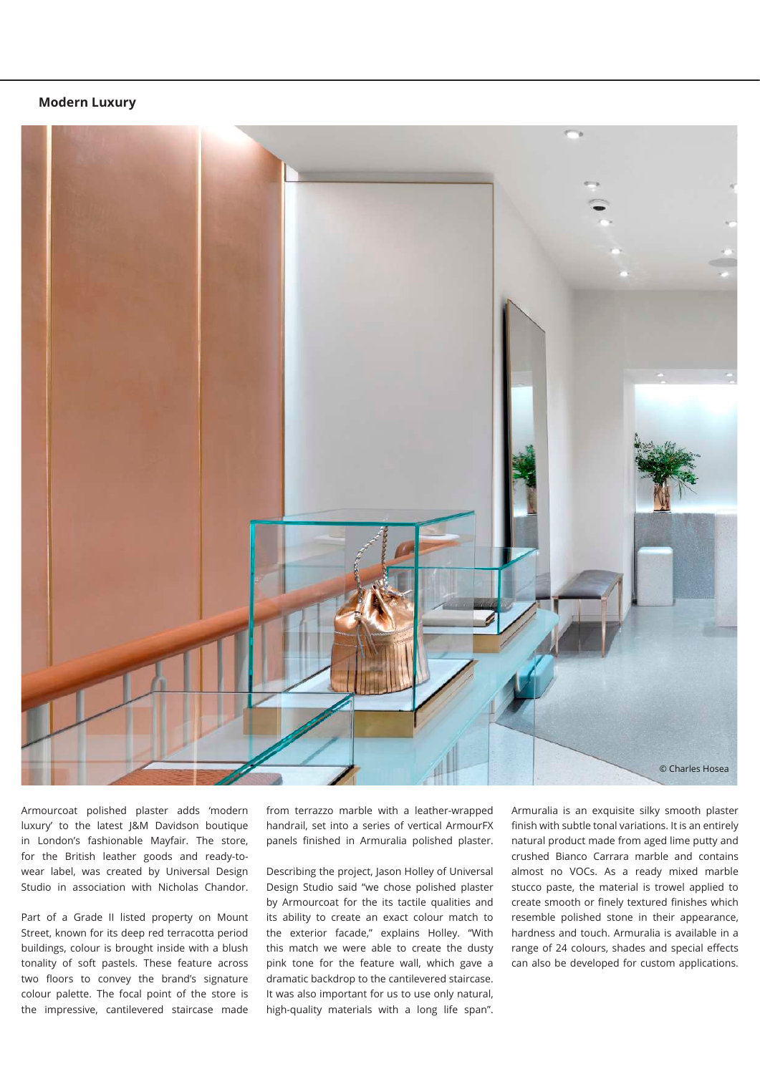### **Modern Luxury**



Armourcoat polished plaster adds 'modern luxury' to the latest J&M Davidson boutique in London's fashionable Mayfair. The store, for the British leather goods and ready-towear label, was created by Universal Design Studio in association with Nicholas Chandor.

Part of a Grade II listed property on Mount Street, known for its deep red terracotta period buildings, colour is brought inside with a blush tonality of soft pastels. These feature across two floors to convey the brand's signature colour palette. The focal point of the store is the impressive, cantilevered staircase made

from terrazzo marble with a leather-wrapped handrail, set into a series of vertical ArmourFX panels finished in Armuralia polished plaster.

Describing the project, Jason Holley of Universal Design Studio said "we chose polished plaster by Armourcoat for the its tactile qualities and its ability to create an exact colour match to the exterior facade," explains Holley. "With this match we were able to create the dusty pink tone for the feature wall, which gave a dramatic backdrop to the cantilevered staircase. It was also important for us to use only natural, high-quality materials with a long life span".

Armuralia is an exquisite silky smooth plaster finish with subtle tonal variations. It is an entirely natural product made from aged lime putty and crushed Bianco Carrara marble and contains almost no VOCs. As a ready mixed marble stucco paste, the material is trowel applied to create smooth or finely textured finishes which resemble polished stone in their appearance, hardness and touch. Armuralia is available in a range of 24 colours, shades and special effects can also be developed for custom applications.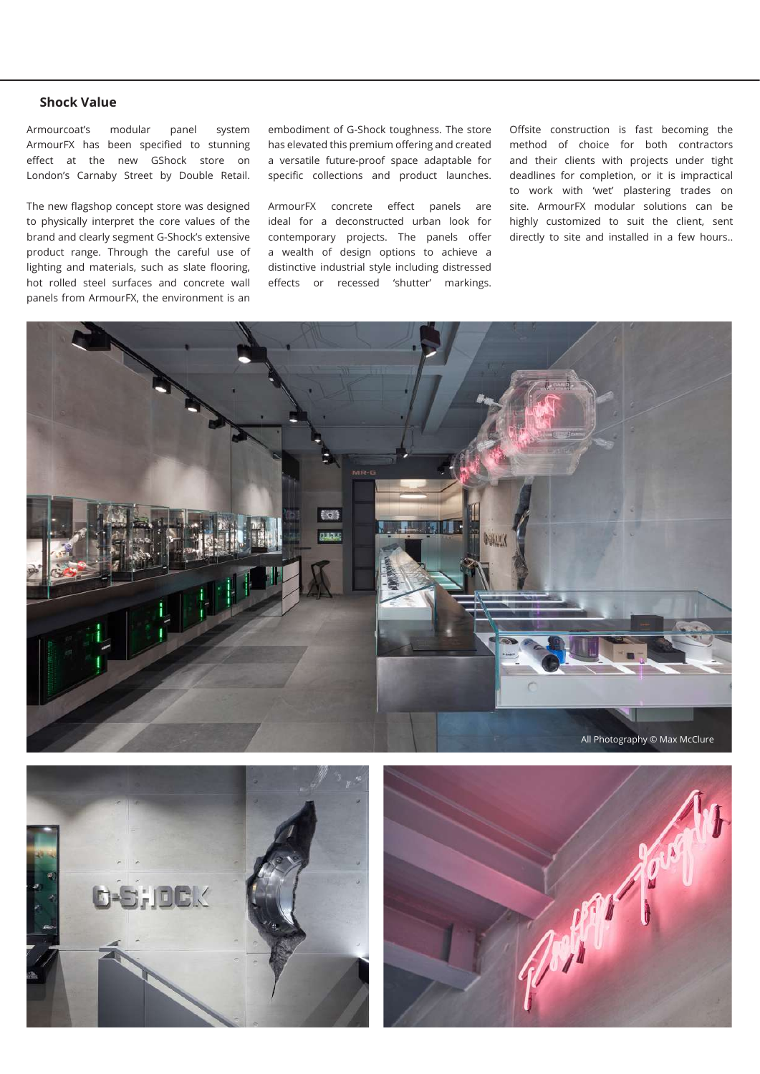## **Shock Value**

Armourcoat's modular panel system ArmourFX has been specified to stunning effect at the new GShock store on London's Carnaby Street by Double Retail.

The new flagshop concept store was designed to physically interpret the core values of the brand and clearly segment G-Shock's extensive product range. Through the careful use of lighting and materials, such as slate flooring, hot rolled steel surfaces and concrete wall panels from ArmourFX, the environment is an

embodiment of G-Shock toughness. The store has elevated this premium offering and created a versatile future-proof space adaptable for specific collections and product launches.

ArmourFX concrete effect panels are ideal for a deconstructed urban look for contemporary projects. The panels offer a wealth of design options to achieve a distinctive industrial style including distressed effects or recessed 'shutter' markings.

Offsite construction is fast becoming the method of choice for both contractors and their clients with projects under tight deadlines for completion, or it is impractical to work with 'wet' plastering trades on site. ArmourFX modular solutions can be highly customized to suit the client, sent directly to site and installed in a few hours..